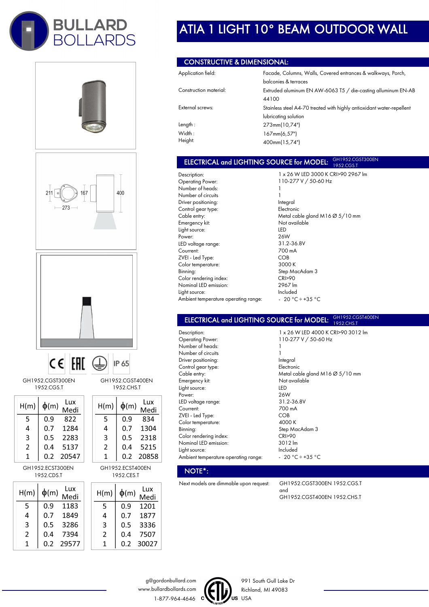









GH1952.CGST300EN 1952.CGS.T

| H(m) | $\phi(m)$ | Lux<br>Medi |
|------|-----------|-------------|
| 5    | 0.9       | 822         |
| 4    | 0.7       | 1284        |
| 3    | 0.5       | 2283        |
| 2    | 0.4       | 5137        |
| 1    | 0.2       | 20547       |

GH1952.ECST300EN 1952.CDS.T

| H(m) | $\phi(m)$ | Lux<br>Medi |  |
|------|-----------|-------------|--|
| 5    | 0.9       | 1183        |  |
| 4    | 0.7       | 1849        |  |
| 3    | 0.5       | 3286        |  |
| 2    | 0.4       | 7394        |  |
| 1    | 0.2       | 29577       |  |

## GH1952.CGST400EN 1952.CHS.T

IP 65

| H(m) | $\phi(m)$ | Lux<br>Medi |
|------|-----------|-------------|
| 5    | 0.9       | 834         |
| 4    | 0.7       | 1304        |
| 3    | 0.5       | 2318        |
| 2    | 0.4       | 5215        |
| 1    | 0.2       | 20858       |

GH1952.ECST400EN 1952.CES.T

| H(m) | $\phi(m)$ | Lux<br>Medi |
|------|-----------|-------------|
| 5    | 0.9       | 1201        |
| 4    | 0.7       | 1877        |
| 3    | 0.5       | 3336        |
| 2    | 0.4       | 7507        |
| 1    | 0.2       | 30027       |

# ATIA 1 LIGHT 10° BEAM OUTDOOR WALL

## CONSTRUCTIVE & DIMENSIONAL:

| Application field:     | Facade, Columns, Walls, Covered entrances & walkways, Porch,          |
|------------------------|-----------------------------------------------------------------------|
|                        | balconies & terraces                                                  |
| Construction material: | Extruded aluminum EN AW-6063 T5 / die-casting alluminum EN-AB         |
|                        | 44100                                                                 |
| External screws:       | Stainless steel A4-70 treated with highly antioxidant water-repellent |
|                        | lubricating solution                                                  |
| Length:                | 273mm(10,74")                                                         |
| Width:                 | 167mm(6,57")                                                          |
| Height:                | 400mm(15,74")                                                         |

### ELECTRICAL and LIGHTING SOURCE for MODEL: GH1952.CGST300EN 1952.CGS.T

Description: Operating Power: Number of heads: Number of circuits Driver positioning: Control gear type: Cable entry: Emergency kit: Light source: Power: LED voltage range: Courrent: ZVEI - Led Type: Color temperature: Binning: Color rendering index: Nominal LED emission: Light source: Ambient temperature operating range:

1 x 26 W LED 3000 K CRI>90 2967 lm 110-277 V / 50-60 Hz 1 1 Integral Electronic Metal cable gland M16 Ø 5/10 mm Not available LED 26W 31.2-36.8V 700 mA COB 3000 K Step MacAdam 3 CRI>90 2967 lm Included  $-20 °C \div 35 °C$ 

1 x 26 W LED 4000 K CRI>90 3012 lm

110-277 V / 50-60 Hz

#### ELECTRICAL and LIGHTING SOURCE for MODEL: GH1952.CGST400EN 1952.CHS.T

1 1

Description: Operating Power: Number of heads: Number of circuits Driver positioning: Control gear type: Cable entry: Emergency kit: Light source: Power: LED voltage range: Courrent: ZVEI - Led Type: Color temperature: Binning: Color rendering index: Nominal LED emission: Light source: Ambient temperature operating range:

Integral Electronic Metal cable gland M16 Ø 5/10 mm Not available LED 26W 31.2-36.8V 700 mA COB 4000 K Step MacAdam 3 CRI>90 3012 lm Included - 20  $^{\circ}$ C ÷ +35  $^{\circ}$ C

## NOTE\*:

Next models are dimmable upon request: GH1952.CGST300EN 1952.CGS.T

and GH1952.CGST400EN 1952.CHS.T





991 South Gull Lake Dr Richland, MI 49083